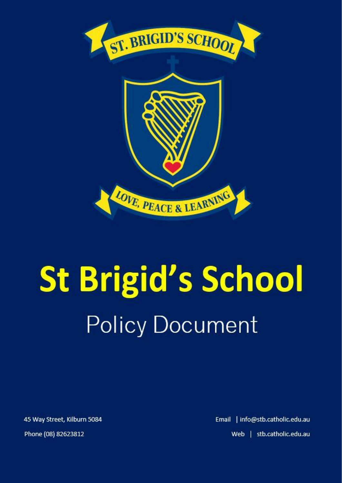

# **St Brigid's School Policy Document**

45 Way Street, Kilburn 5084 Phone (08) 82623812

Email | info@stb.catholic.edu.au Web | stb.catholic.edu.au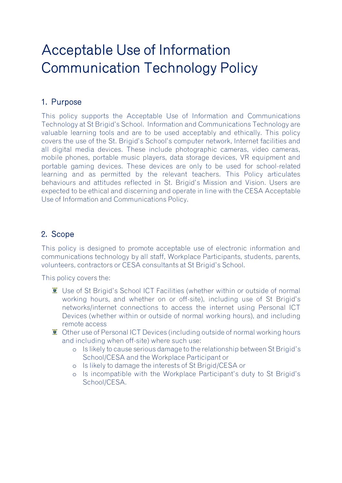# Acceptable Use of Information Communication Technology Policy

### 1. Purpose

This policy supports the Acceptable Use of Information and Communications Technology at St Brigid's School. Information and Communications Technology are valuable learning tools and are to be used acceptably and ethically. This policy covers the use of the St. Brigid's School's computer network, Internet facilities and all digital media devices. These include photographic cameras, video cameras, mobile phones, portable music players, data storage devices, VR equipment and portable gaming devices. These devices are only to be used for school-related learning and as permitted by the relevant teachers. This Policy articulates behaviours and attitudes reflected in St. Brigid's Mission and Vision. Users are expected to be ethical and discerning and operate in line with the CESA Acceptable Use of Information and Communications Policy.

## 2. Scope

This policy is designed to promote acceptable use of electronic information and communications technology by all staff, Workplace Participants, students, parents, volunteers, contractors or CESA consultants at St Brigid's School.

This policy covers the:

- Use of St Brigid's School ICT Facilities (whether within or outside of normal working hours, and whether on or off-site), including use of St Brigid's networks/internet connections to access the internet using Personal ICT Devices (whether within or outside of normal working hours), and including remote access
- $\overline{\bullet}$  Other use of Personal ICT Devices (including outside of normal working hours and including when off-site) where such use:
	- o Is likely to cause serious damage to the relationship between St Brigid's School/CESA and the Workplace Participant or
	- o Is likely to damage the interests of St Brigid/CESA or
	- o Is incompatible with the Workplace Participant's duty to St Brigid's School/CESA.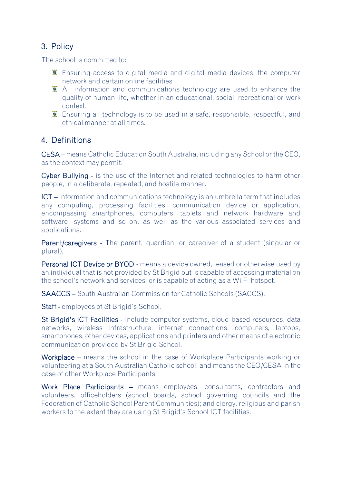### 3. Policy

The school is committed to:

- $\bar{z}$  Ensuring access to digital media and digital media devices, the computer network and certain online facilities
- $\overline{\bullet}$  All information and communications technology are used to enhance the quality of human life, whether in an educational, social, recreational or work context.
- $\ddot{\mathbf{z}}$  Ensuring all technology is to be used in a safe, responsible, respectful, and ethical manner at all times.

#### 4. Definitions

CESA – means Catholic Education South Australia, including any School or the CEO, as the context may permit.

Cyber Bullying - is the use of the Internet and related technologies to harm other people, in a deliberate, repeated, and hostile manner.

ICT – Information and communications technology is an umbrella term that includes any computing, processing facilities, communication device or application, encompassing smartphones, computers, tablets and network hardware and software, systems and so on, as well as the various associated services and applications.

Parent/caregivers - The parent, guardian, or caregiver of a student (singular or plural).

Personal ICT Device or BYOD - means a device owned, leased or otherwise used by an individual that is not provided by St Brigid but is capable of accessing material on the school's network and services, or is capable of acting as a Wi-Fi hotspot.

SAACCS – South Australian Commission for Catholic Schools (SACCS).

Staff - employees of St Brigid's School.

St Brigid's ICT Facilities - include computer systems, cloud-based resources, data networks, wireless infrastructure, internet connections, computers, laptops, smartphones, other devices, applications and printers and other means of electronic communication provided by St Brigid School.

Workplace – means the school in the case of Workplace Participants working or volunteering at a South Australian Catholic school, and means the CEO/CESA in the case of other Workplace Participants.

Work Place Participants – means employees, consultants, contractors and volunteers, officeholders (school boards, school governing councils and the Federation of Catholic School Parent Communities); and clergy, religious and parish workers to the extent they are using St Brigid's School ICT facilities.